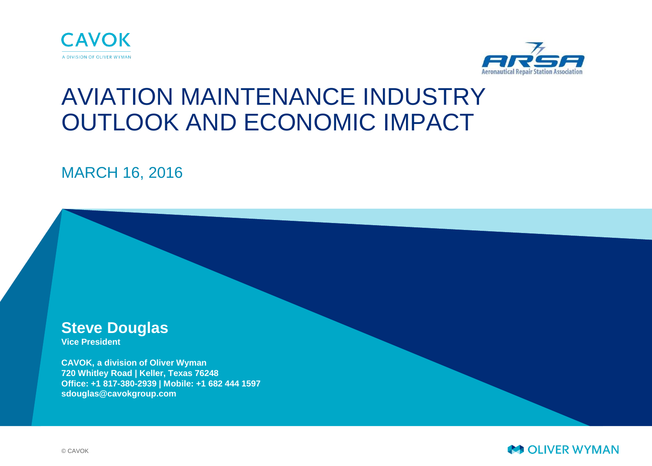



# AVIATION MAINTENANCE INDUSTRY OUTLOOK AND ECONOMIC IMPACT

MARCH 16, 2016

**Steve Douglas**

**Vice President**

**CAVOK, a division of Oliver Wyman 720 Whitley Road | Keller, Texas 76248 Office: +1 817-380-2939 | Mobile: +1 682 444 1597 sdouglas@cavokgroup.com**

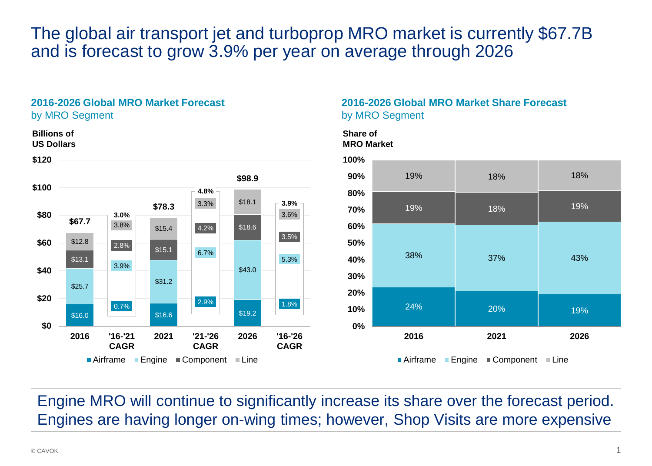## The global air transport jet and turboprop MRO market is currently \$67.7B and is forecast to grow 3.9% per year on average through 2026

#### **2016-2026 Global MRO Market Forecast** by MRO Segment



### **2016-2026 Global MRO Market Share Forecast** by MRO Segment

#### **Share of MRO Market**



Engine MRO will continue to significantly increase its share over the forecast period. Engines are having longer on-wing times; however, Shop Visits are more expensive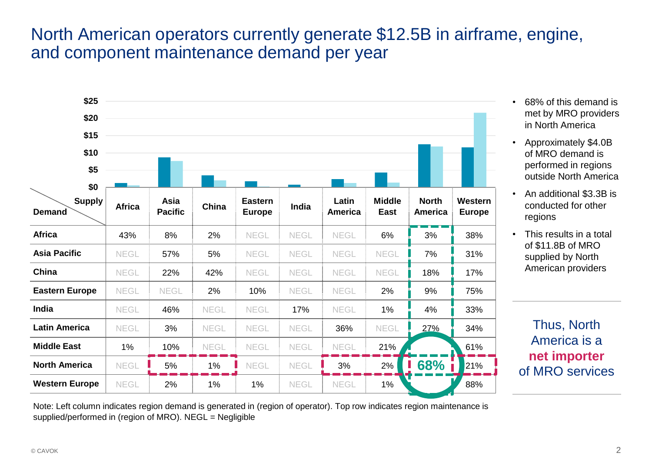## North American operators currently generate \$12.5B in airframe, engine, and component maintenance demand per year

| \$25<br>\$20<br>\$15<br>\$10<br>\$5   |               |                        |             |                          |             |                         |                              |                         |                          |
|---------------------------------------|---------------|------------------------|-------------|--------------------------|-------------|-------------------------|------------------------------|-------------------------|--------------------------|
| \$0<br><b>Supply</b><br><b>Demand</b> | <b>Africa</b> | Asia<br><b>Pacific</b> | China       | Eastern<br><b>Europe</b> | India       | Latin<br><b>America</b> | <b>Middle</b><br><b>East</b> | <b>North</b><br>America | Western<br><b>Europe</b> |
| <b>Africa</b>                         | 43%           | 8%                     | 2%          | NEGL                     | NEGL        | <b>NEGL</b>             | 6%                           | 3%                      | 38%                      |
| <b>Asia Pacific</b>                   | <b>NEGL</b>   | 57%                    | 5%          | NEGL                     | <b>NEGL</b> | <b>NEGL</b>             | <b>NEGL</b>                  | 7%                      | 31%                      |
| China                                 | <b>NEGL</b>   | 22%                    | 42%         | NEGL                     | NEGL        | NEGL                    | NEGL                         | 18%                     | 17%                      |
| <b>Eastern Europe</b>                 | NEGL          | <b>NEGL</b>            | 2%          | 10%                      | <b>NEGL</b> | NEGL                    | 2%                           | 9%                      | 75%                      |
| India                                 | NEGL          | 46%                    | <b>NEGL</b> | NEGL                     | 17%         | NEGL                    | 1%                           | 4%                      | 33%                      |
| <b>Latin America</b>                  | NEGL          | 3%                     | <b>NEGL</b> | NEGL                     | <b>NEGL</b> | 36%                     | <b>NEGL</b>                  | 27%                     | 34%                      |
| <b>Middle East</b>                    | 1%            | 10%                    | <b>NEGL</b> | <b>NEGL</b>              | NEGL        | <b>NEGL</b>             | 21%                          |                         | 61%                      |
| <b>North America</b>                  | <b>NEGL</b>   | 5%                     | 1%          | <b>NEGL</b>              | <b>NEGL</b> | 3%                      | 2%                           | 68%                     | 21%                      |
| <b>Western Europe</b>                 | <b>NEGL</b>   | 2%                     | $1\%$       | 1%                       | <b>NEGL</b> | <b>NEGL</b>             | $1\%$                        |                         | 88%                      |

- 68% of this demand is met by MRO providers in North America
- Approximately \$4.0B of MRO demand is performed in regions outside North America
- An additional \$3.3B is conducted for other regions
- This results in a total of \$11.8B of MRO supplied by North American providers

Thus, North America is a **net importer** of MRO services **68%**

Note: Left column indicates region demand is generated in (region of operator). Top row indicates region maintenance is supplied/performed in (region of MRO). NEGL = Negligible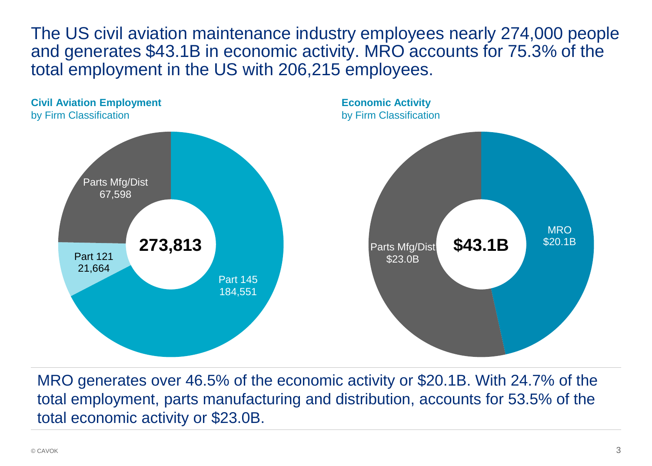The US civil aviation maintenance industry employees nearly 274,000 people and generates \$43.1B in economic activity. MRO accounts for 75.3% of the total employment in the US with 206,215 employees.



MRO generates over 46.5% of the economic activity or \$20.1B. With 24.7% of the total employment, parts manufacturing and distribution, accounts for 53.5% of the total economic activity or \$23.0B.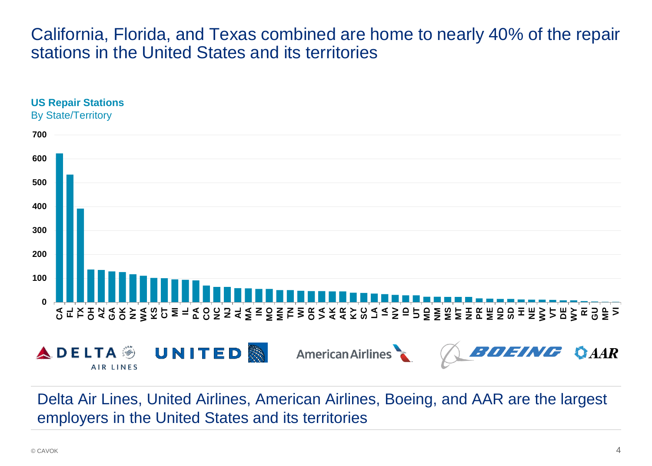### California, Florida, and Texas combined are home to nearly 40% of the repair stations in the United States and its territories



Delta Air Lines, United Airlines, American Airlines, Boeing, and AAR are the largest employers in the United States and its territories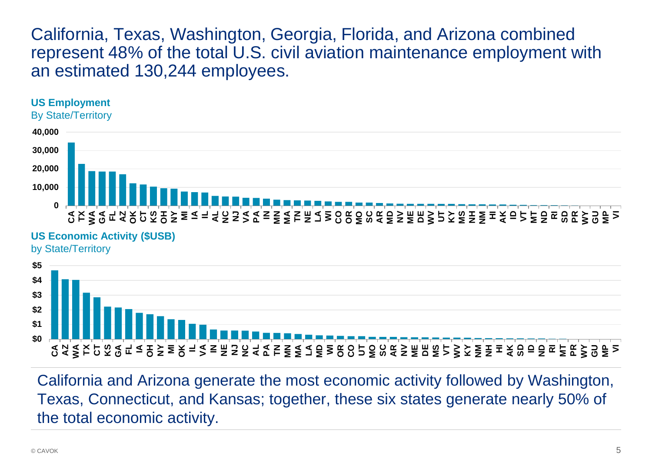California, Texas, Washington, Georgia, Florida, and Arizona combined represent 48% of the total U.S. civil aviation maintenance employment with an estimated 130,244 employees.



California and Arizona generate the most economic activity followed by Washington, Texas, Connecticut, and Kansas; together, these six states generate nearly 50% of the total economic activity.

**CA AZ WA TX CT KS GA FL IA OH NY MI OK IL VA IN NE NJ NC AL PA TN MN MA LA MD WI OR CO UT MO SC AR NV ME DE MS VT WV KY NM NH HI AK SD ID ND RI MT PR WY GU MP VI**

**\$0 \$1**